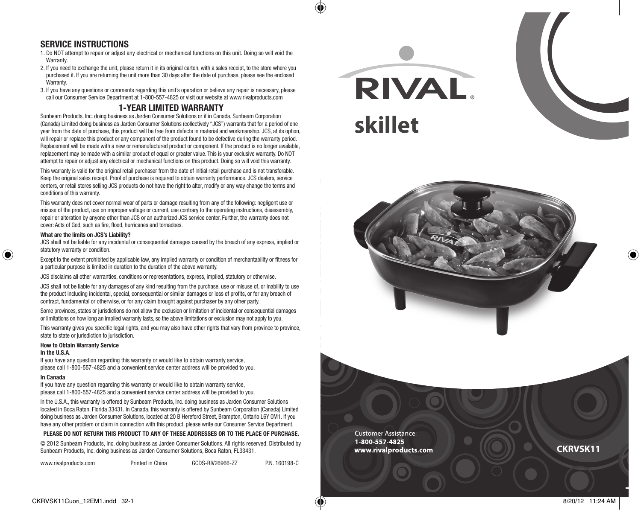# **SERVICE INSTRUCTIONS**

- 1. Do NOT attempt to repair or adjust any electrical or mechanical functions on this unit. Doing so will void the Warranty.
- 2. If you need to exchange the unit, please return it in its original carton, with a sales receipt, to the store where you purchased it. If you are returning the unit more than 30 days after the date of purchase, please see the enclosed Warranty.
- 3. If you have any questions or comments regarding this unit's operation or believe any repair is necessary, please call our Consumer Service Department at 1-800-557-4825 or visit our website at www.rivalproducts.com

### **1-YEAR LIMITED WARRANTY**

Sunbeam Products, Inc. doing business as Jarden Consumer Solutions or if in Canada, Sunbeam Corporation (Canada) Limited doing business as Jarden Consumer Solutions (collectively "JCS") warrants that for a period of one year from the date of purchase, this product will be free from defects in material and workmanship. JCS, at its option, will repair or replace this product or any component of the product found to be defective during the warranty period. Replacement will be made with a new or remanufactured product or component. If the product is no longer available, replacement may be made with a similar product of equal or greater value. This is your exclusive warranty. Do NOT attempt to repair or adjust any electrical or mechanical functions on this product. Doing so will void this warranty.

This warranty is valid for the original retail purchaser from the date of initial retail purchase and is not transferable. Keep the original sales receipt. Proof of purchase is required to obtain warranty performance. JCS dealers, service centers, or retail stores selling JCS products do not have the right to alter, modify or any way change the terms and conditions of this warranty.

This warranty does not cover normal wear of parts or damage resulting from any of the following: negligent use or misuse of the product, use on improper voltage or current, use contrary to the operating instructions, disassembly, repair or alteration by anyone other than JCS or an authorized JCS service center. Further, the warranty does not cover: Acts of God, such as fire, flood, hurricanes and tornadoes.

#### **What are the limits on JCS's Liability?**

JCS shall not be liable for any incidental or consequential damages caused by the breach of any express, implied or statutory warranty or condition.

Except to the extent prohibited by applicable law, any implied warranty or condition of merchantability or fitness for a particular purpose is limited in duration to the duration of the above warranty.

JCS disclaims all other warranties, conditions or representations, express, implied, statutory or otherwise.

JCS shall not be liable for any damages of any kind resulting from the purchase, use or misuse of, or inability to use the product including incidental, special, consequential or similar damages or loss of profits, or for any breach of contract, fundamental or otherwise, or for any claim brought against purchaser by any other party.

Some provinces, states or jurisdictions do not allow the exclusion or limitation of incidental or consequential damages or limitations on how long an implied warranty lasts, so the above limitations or exclusion may not apply to you.

This warranty gives you specific legal rights, and you may also have other rights that vary from province to province, state to state or jurisdiction to jurisdiction.

#### **How to Obtain Warranty Service**

#### **In the U.S.A**.

♠

If you have any question regarding this warranty or would like to obtain warranty service, please call 1-800-557-4825 and a convenient service center address will be provided to you.

#### **In Canada**

If you have any question regarding this warranty or would like to obtain warranty service, please call 1-800-557-4825 and a convenient service center address will be provided to you.

In the U.S.A., this warranty is offered by Sunbeam Products, Inc. doing business as Jarden Consumer Solutions located in Boca Raton, Florida 33431. In Canada, this warranty is offered by Sunbeam Corporation (Canada) Limited doing business as Jarden Consumer Solutions, located at 20 B Hereford Street, Brampton, Ontario L6Y 0M1. If you have any other problem or claim in connection with this product, please write our Consumer Service Department.

#### **PLEASE DO NOT RETURN THIS PRODUCT TO ANY OF THESE ADDRESSES OR TO THE PLACE OF PURCHASE.**

© 2012 Sunbeam Products, Inc. doing business as Jarden Consumer Solutions. All rights reserved. Distributed by Sunbeam Products, Inc. doing business as Jarden Consumer Solutions, Boca Raton, FL33431.

| www.rivalproducts.com | Printed in China | GCDS-RIV26966-ZZ | P.N. 160198-C |
|-----------------------|------------------|------------------|---------------|
|-----------------------|------------------|------------------|---------------|

RIVAL. **skillet**



**Customer Assistance:** 1-800-557-4825 www.rivalproducts.com

**CKRVSK11**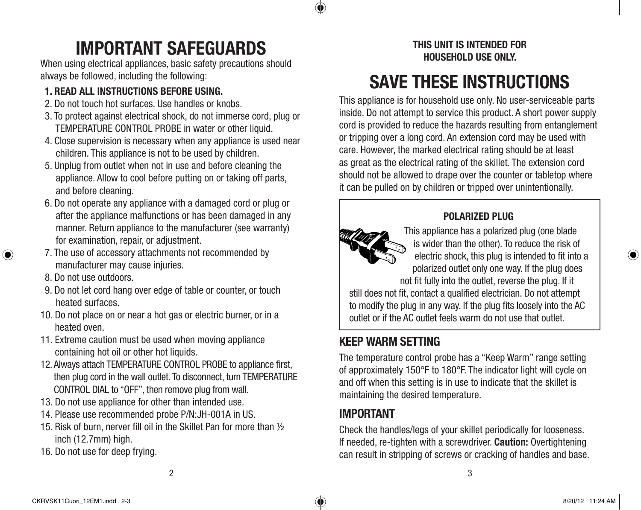# **IMPORTANT SAFEGUARDS**

When using electrical appliances, basic safety precautions should always be followed, including the following:

# **1. READ ALL INSTRUCTIONS BEFORE USING.**

- 2. Do not touch hot surfaces. Use handles or knobs.
- 3. To protect against electrical shock, do not immerse cord, plug or TEMPERATURE CONTROL PROBE in water or other liquid.
- 4. Close supervision is necessary when any appliance is used near children. This appliance is not to be used by children.
- 5. Unplug from outlet when not in use and before cleaning the appliance. Allow to cool before putting on or taking off parts, and before cleaning.
- 6. Do not operate any appliance with a damaged cord or plug or after the appliance malfunctions or has been damaged in any manner. Return appliance to the manufacturer (see warranty) for examination, repair, or adjustment.
- 7. The use of accessory attachments not recommended by manufacturer may cause injuries.
- 8. Do not use outdoors.

⊕

- 9. Do not let cord hang over edge of table or counter, or touch heated surfaces.
- 10. Do not place on or near a hot gas or electric burner, or in a heated oven.
- 11. Extreme caution must be used when moving appliance containing hot oil or other hot liquids.
- 12. Always attach TEMPERATURE CONTROL PROBE to appliance first, then plug cord in the wall outlet. To disconnect, turn TEMPERATURE CONTROL DIAL to "OFF", then remove plug from wall.
- 13. Do not use appliance for other than intended use.
- 14. Please use recommended probe P/N:JH-001A in US.
- 15. Risk of burn, nerver fill oil in the Skillet Pan for more than ½ inch (12.7mm) high.
- 16. Do not use for deep frying.

# **THIS UNIT IS INTENDED FOR HOUSEHOLD USE ONLY.**

# **SAVE THESE INSTRUCTIONS**

This appliance is for household use only. No user-serviceable parts inside. Do not attempt to service this product. A short power supply cord is provided to reduce the hazards resulting from entanglement or tripping over a long cord. An extension cord may be used with care. However, the marked electrical rating should be at least as great as the electrical rating of the skillet. The extension cord should not be allowed to drape over the counter or tabletop where it can be pulled on by children or tripped over unintentionally.



# **POLARIZED PLUG**

This appliance has a polarized plug (one blade is wider than the other). To reduce the risk of electric shock, this plug is intended to fit into a polarized outlet only one way. If the plug does not fit fully into the outlet, reverse the plug. If it

still does not fit, contact a qualified electrician. Do not attempt to modify the plug in any way. If the plug fits loosely into the AC outlet or if the AC outlet feels warm do not use that outlet.

# **KEEP WARM SETTING**

The temperature control probe has a "Keep Warm" range setting of approximately 150°F to 180°F. The indicator light will cycle on and off when this setting is in use to indicate that the skillet is maintaining the desired temperature.

# **IMPORTANT**

Check the handles/legs of your skillet periodically for looseness. If needed, re-tighten with a screwdriver. **Caution:** Overtightening can result in stripping of screws or cracking of handles and base.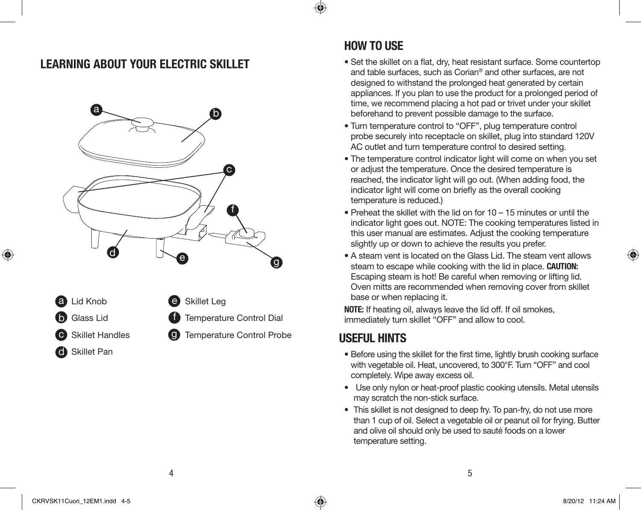# **LEARNING ABOUT YOUR ELECTRIC SKILLET**





# **HOW TO USE**

⊕

- Set the skillet on a flat, dry, heat resistant surface. Some countertop and table surfaces, such as Corian® and other surfaces, are not designed to withstand the prolonged heat generated by certain appliances. If you plan to use the product for a prolonged period of time, we recommend placing a hot pad or trivet under your skillet beforehand to prevent possible damage to the surface.
- Turn temperature control to "OFF", plug temperature control probe securely into receptacle on skillet, plug into standard 120V AC outlet and turn temperature control to desired setting.
- The temperature control indicator light will come on when you set or adjust the temperature. Once the desired temperature is reached, the indicator light will go out. (When adding food, the indicator light will come on briefly as the overall cooking temperature is reduced.)
- Preheat the skillet with the lid on for 10 15 minutes or until the indicator light goes out. NOTE: The cooking temperatures listed in this user manual are estimates. Adjust the cooking temperature slightly up or down to achieve the results you prefer.
- A steam vent is located on the Glass Lid. The steam vent allows steam to escape while cooking with the lid in place. **CAUTION:** Escaping steam is hot! Be careful when removing or lifting lid. Oven mitts are recommended when removing cover from skillet base or when replacing it.

**NOTE:** If heating oil, always leave the lid off. If oil smokes, immediately turn skillet "OFF" and allow to cool.

# **USEFUL HINTS**

- Before using the skillet for the first time, lightly brush cooking surface with vegetable oil. Heat, uncovered, to 300°F. Turn "OFF" and cool completely. Wipe away excess oil.
- Use only nylon or heat-proof plastic cooking utensils. Metal utensils may scratch the non-stick surface.
- This skillet is not designed to deep fry. To pan-fry, do not use more than 1 cup of oil. Select a vegetable oil or peanut oil for frying. Butter and olive oil should only be used to sauté foods on a lower temperature setting.

⊕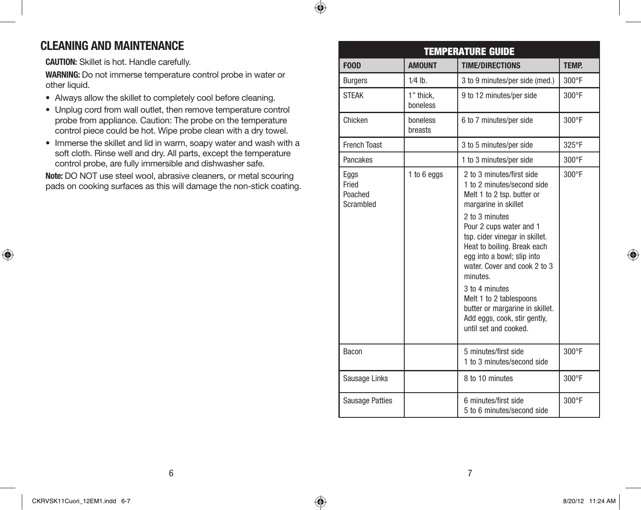# **CLEANING AND MAINTENANCE**

**CAUTION:** Skillet is hot. Handle carefully.

**WARNING:** Do not immerse temperature control probe in water or other liquid.

 $\bigcirc$ 

- Always allow the skillet to completely cool before cleaning.
- Unplug cord from wall outlet, then remove temperature control probe from appliance. Caution: The probe on the temperature control piece could be hot. Wipe probe clean with a dry towel.
- Immerse the skillet and lid in warm, soapy water and wash with a soft cloth. Rinse well and dry. All parts, except the temperature control probe, are fully immersible and dishwasher safe.

**Note:** DO NOT use steel wool, abrasive cleaners, or metal scouring pads on cooking surfaces as this will damage the non-stick coating.

| <b>TEMPERATURE GUIDE</b>              |                       |                                                                                                                                                                                                                                                                                                                                                                                                                                                |                 |
|---------------------------------------|-----------------------|------------------------------------------------------------------------------------------------------------------------------------------------------------------------------------------------------------------------------------------------------------------------------------------------------------------------------------------------------------------------------------------------------------------------------------------------|-----------------|
| <b>FOOD</b>                           | <b>AMOUNT</b>         | <b>TIME/DIRECTIONS</b>                                                                                                                                                                                                                                                                                                                                                                                                                         | <b>TEMP.</b>    |
| <b>Burgers</b>                        | $1/4$ lb.             | 3 to 9 minutes/per side (med.)                                                                                                                                                                                                                                                                                                                                                                                                                 | $300^\circ F$   |
| <b>STEAK</b>                          | 1" thick.<br>boneless | 9 to 12 minutes/per side                                                                                                                                                                                                                                                                                                                                                                                                                       | 300°F           |
| Chicken                               | boneless<br>breasts   | 6 to 7 minutes/per side                                                                                                                                                                                                                                                                                                                                                                                                                        | 300°F           |
| <b>French Toast</b>                   |                       | 3 to 5 minutes/per side                                                                                                                                                                                                                                                                                                                                                                                                                        | 325°F           |
| Pancakes                              |                       | 1 to 3 minutes/per side                                                                                                                                                                                                                                                                                                                                                                                                                        | $300^{\circ}$ F |
| Eggs<br>Fried<br>Poached<br>Scrambled | 1 to 6 eggs           | 2 to 3 minutes/first side<br>1 to 2 minutes/second side<br>Melt 1 to 2 tsp. butter or<br>margarine in skillet<br>2 to 3 minutes<br>Pour 2 cups water and 1<br>tsp. cider vinegar in skillet.<br>Heat to boiling. Break each<br>egg into a bowl; slip into<br>water. Cover and cook 2 to 3<br>minutes.<br>3 to 4 minutes<br>Melt 1 to 2 tablespoons<br>butter or margarine in skillet.<br>Add eggs, cook, stir gently,<br>until set and cooked. | 300°F           |
| Bacon                                 |                       | 5 minutes/first side<br>1 to 3 minutes/second side                                                                                                                                                                                                                                                                                                                                                                                             | 300°F           |
| Sausage Links                         |                       | 8 to 10 minutes                                                                                                                                                                                                                                                                                                                                                                                                                                | $300^{\circ}F$  |
| <b>Sausage Patties</b>                |                       | 6 minutes/first side<br>5 to 6 minutes/second side                                                                                                                                                                                                                                                                                                                                                                                             | 300°F           |

⊕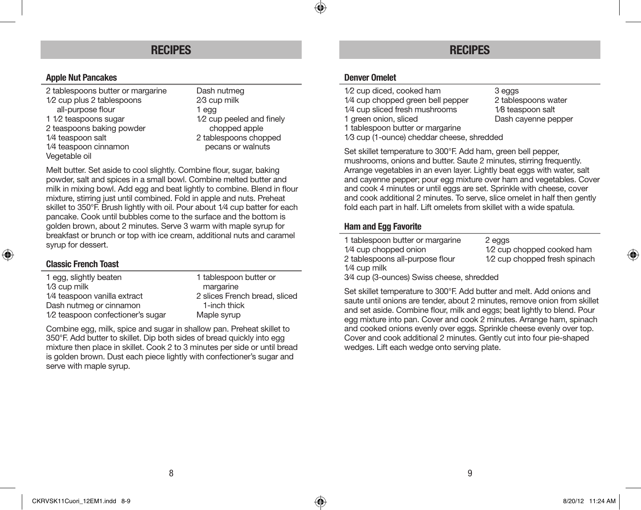### **Apple Nut Pancakes**

2 tablespoons butter or margarine Dash nutmeg 1/2 cup plus 2 tablespoons 2/3 cup milk all-purpose flour 1 egg 1 1/2 teaspoons sugar 1/2 cup peeled and finely 2 teaspoons baking powder chopped apple 1/4 teaspoon salt 2 tablespoons chopped 1/4 teaspoon cinnamon pecans or walnuts Vegetable oil

Melt butter. Set aside to cool slightly. Combine flour, sugar, baking powder, salt and spices in a small bowl. Combine melted butter and milk in mixing bowl. Add egg and beat lightly to combine. Blend in flour mixture, stirring just until combined. Fold in apple and nuts. Preheat skillet to 350°F. Brush lightly with oil. Pour about 1⁄4 cup batter for each pancake. Cook until bubbles come to the surface and the bottom is golden brown, about 2 minutes. Serve 3 warm with maple syrup for breakfast or brunch or top with ice cream, additional nuts and caramel syrup for dessert.

# **Classic French Toast**

⊕

| 1 tablespoon butter or        |
|-------------------------------|
| margarine                     |
| 2 slices French bread, sliced |
| 1-inch thick                  |
| Maple syrup                   |
|                               |

Combine egg, milk, spice and sugar in shallow pan. Preheat skillet to 350°F. Add butter to skillet. Dip both sides of bread quickly into egg mixture then place in skillet. Cook 2 to 3 minutes per side or until bread is golden brown. Dust each piece lightly with confectioner's sugar and serve with maple syrup.

# **RECIPES RECIPES**

#### **Denver Omelet**

 $\bigcirc$ 

1/2 cup diced, cooked ham 3 eggs 1/4 cup chopped green bell pepper 2 tablespoons water 1/4 cup sliced fresh mushrooms 1/8 teaspoon salt 1 green onion, sliced Dash cayenne pepper 1 tablespoon butter or margarine 1⁄3 cup (1-ounce) cheddar cheese, shredded

Set skillet temperature to 300°F. Add ham, green bell pepper, mushrooms, onions and butter. Saute 2 minutes, stirring frequently. Arrange vegetables in an even layer. Lightly beat eggs with water, salt and cayenne pepper; pour egg mixture over ham and vegetables. Cover and cook 4 minutes or until eggs are set. Sprinkle with cheese, cover and cook additional 2 minutes. To serve, slice omelet in half then gently fold each part in half. Lift omelets from skillet with a wide spatula.

### **Ham and Egg Favorite**

| 1 tablespoon butter or margarine | 2 eags                        |
|----------------------------------|-------------------------------|
| 1/4 cup chopped onion            | 1/2 cup chopped cooked ham    |
| 2 tablespoons all-purpose flour  | 1/2 cup chopped fresh spinach |
| 1/4 cup milk                     |                               |
|                                  |                               |

3⁄4 cup (3-ounces) Swiss cheese, shredded

Set skillet temperature to 300°F. Add butter and melt. Add onions and saute until onions are tender, about 2 minutes, remove onion from skillet and set aside. Combine flour, milk and eggs; beat lightly to blend. Pour egg mixture into pan. Cover and cook 2 minutes. Arrange ham, spinach and cooked onions evenly over eggs. Sprinkle cheese evenly over top. Cover and cook additional 2 minutes. Gently cut into four pie-shaped wedges. Lift each wedge onto serving plate.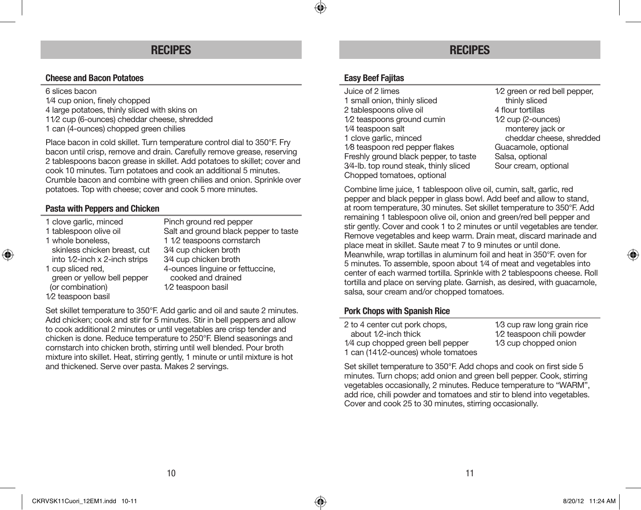# **Cheese and Bacon Potatoes**

6 slices bacon

- 1⁄4 cup onion, finely chopped 4 large potatoes, thinly sliced with skins on
- 11⁄2 cup (6-ounces) cheddar cheese, shredded
- 1 can (4-ounces) chopped green chilies

Place bacon in cold skillet. Turn temperature control dial to 350°F. Fry bacon until crisp, remove and drain. Carefully remove grease, reserving 2 tablespoons bacon grease in skillet. Add potatoes to skillet; cover and cook 10 minutes. Turn potatoes and cook an additional 5 minutes. Crumble bacon and combine with green chilies and onion. Sprinkle over potatoes. Top with cheese; cover and cook 5 more minutes.

# **Pasta with Peppers and Chicken**

- 
- 

⊕

- 
- into  $1/2$ -inch x 2-inch strips
- green or yellow bell pepper<br>(or combination) 1⁄2 teaspoon basil

1 clove garlic, minced<br>
1 tablespoon olive oil Salt and ground black per 1 tablespoon olive oil<br>
1 whole boneless<br>
1 1/2 teaspoons cornstarch<br>
1 1/2 teaspoons cornstarch 1 1/2 teaspoons cornstarch<br>3⁄4 cup chicken broth skinless chicken breast, cut 3⁄4 cup chicken broth<br>into 1/2-inch x 2-inch strips 3⁄4 cup chicken broth 1 cup sliced red,  $\frac{4\text{-}$  cunces linguine or fettuccine,<br>areen or vellow bell peoper cooked and drained 1/2 teaspoon basil

Set skillet temperature to 350°F. Add garlic and oil and saute 2 minutes. Add chicken; cook and stir for 5 minutes. Stir in bell peppers and allow to cook additional 2 minutes or until vegetables are crisp tender and chicken is done. Reduce temperature to 250°F. Blend seasonings and cornstarch into chicken broth, stirring until well blended. Pour broth mixture into skillet. Heat, stirring gently, 1 minute or until mixture is hot and thickened. Serve over pasta. Makes 2 servings.

# **RECIPES RECIPES**

### **Easy Beef Fajitas**

 $\bigcirc$ 

Juice of 2 limes<br>
1/2 green or red bell pepper,<br>
1 small onion, thinly sliced<br>
1/2 green or red bell pepper, 1 small onion, thinly sliced<br>
2 tablespoons olive oil thinly sliced<br>
2 tablespoons olive oil thinly sliced<br>
4 flour tortillas 2 tablespoons olive oil 4 flour tortillas<br>1/2 teaspoons ground cumin<br>1/2 cup (2-ounces)  $1/2$  teaspoons ground cumin  $1/4$  teaspoon salt 1 clove garlic, minced<br>
18 teaspoon red pepper flakes<br>
Guacamole, optional 1/8 teaspoon red pepper flakes Guacamole, optional<br>Freshly ground black pepper, to taste Salsa, optional Freshly ground black pepper, to taste Salsa, optional<br>34-lb. top round steak, thinly sliced Sour cream, optional 3⁄4-lb, top round steak, thinly sliced Chopped tomatoes, optional

monterey jack or<br>cheddar cheese shredded

Combine lime juice, 1 tablespoon olive oil, cumin, salt, garlic, red pepper and black pepper in glass bowl. Add beef and allow to stand, at room temperature, 30 minutes. Set skillet temperature to 350°F. Add remaining 1 tablespoon olive oil, onion and green/red bell pepper and stir gently. Cover and cook 1 to 2 minutes or until vegetables are tender. Remove vegetables and keep warm. Drain meat, discard marinade and place meat in skillet. Saute meat 7 to 9 minutes or until done. Meanwhile, wrap tortillas in aluminum foil and heat in 350°F. oven for 5 minutes. To assemble, spoon about 1⁄4 of meat and vegetables into center of each warmed tortilla. Sprinkle with 2 tablespoons cheese. Roll tortilla and place on serving plate. Garnish, as desired, with guacamole, salsa, sour cream and/or chopped tomatoes.

### **Pork Chops with Spanish Rice**

| 2 to 4 center cut pork chops,       | 1/3 cup raw long grain rice |
|-------------------------------------|-----------------------------|
| about $1/2$ -inch thick             | 1/2 teaspoon chili powder   |
| 1/4 cup chopped green bell pepper   | 1/3 cup chopped onion       |
| 1 can (141/2-ounces) whole tomatoes |                             |

Set skillet temperature to 350°F. Add chops and cook on first side 5 minutes. Turn chops; add onion and green bell pepper. Cook, stirring vegetables occasionally, 2 minutes. Reduce temperature to "WARM", add rice, chili powder and tomatoes and stir to blend into vegetables. Cover and cook 25 to 30 minutes, stirring occasionally.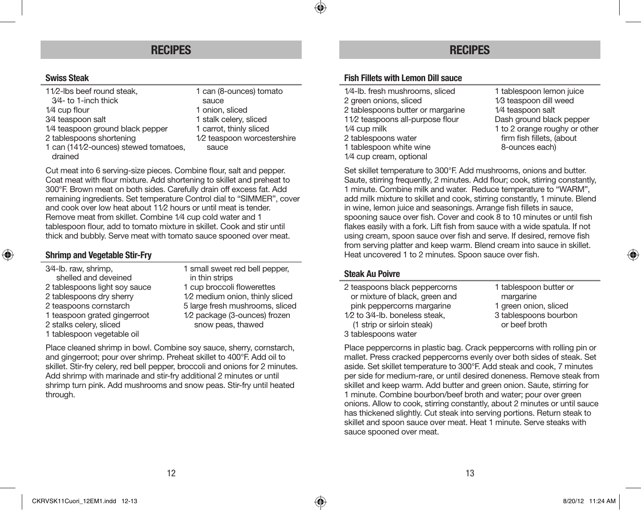# **RECIPES RECIPES**

# **Swiss Steak**

| 11/2-lbs beef round steak,            | 1 can (8-ounces) tomato     |
|---------------------------------------|-----------------------------|
| 3/4- to 1-inch thick                  | sauce                       |
| $1/4$ cup flour                       | 1 onion, sliced             |
| 3/4 teaspoon salt                     | 1 stalk celery, sliced      |
| 1/4 teaspoon ground black pepper      | 1 carrot, thinly sliced     |
| 2 tablespoons shortening              | 1/2 teaspoon worcestershire |
| 1 can (141/2-ounces) stewed tomatoes, | sauce                       |
| drained                               |                             |

Cut meat into 6 serving-size pieces. Combine flour, salt and pepper. Coat meat with flour mixture. Add shortening to skillet and preheat to 300°F. Brown meat on both sides. Carefully drain off excess fat. Add remaining ingredients. Set temperature Control dial to "SIMMER", cover and cook over low heat about 11⁄2 hours or until meat is tender. Remove meat from skillet. Combine 1⁄4 cup cold water and 1 tablespoon flour, add to tomato mixture in skillet. Cook and stir until thick and bubbly. Serve meat with tomato sauce spooned over meat.

## **Shrimp and Vegetable Stir-Fry**

⊕

| 3/4-lb. raw, shrimp,          | 1 small sweet red bell pepper,  |
|-------------------------------|---------------------------------|
| shelled and deveined          | in thin strips                  |
| 2 tablespoons light soy sauce | 1 cup broccoli flowerettes      |
| 2 tablespoons dry sherry      | 1/2 medium onion, thinly sliced |
| 2 teaspoons cornstarch        | 5 large fresh mushrooms, sliced |
| 1 teaspoon grated gingerroot  | 1/2 package (3-ounces) frozen   |
| 2 stalks celery, sliced       | snow peas, thawed               |
| 1 tablespoon vegetable oil    |                                 |
|                               |                                 |

Place cleaned shrimp in bowl. Combine soy sauce, sherry, cornstarch, and gingerroot; pour over shrimp. Preheat skillet to 400°F. Add oil to skillet. Stir-fry celery, red bell pepper, broccoli and onions for 2 minutes. Add shrimp with marinade and stir-fry additional 2 minutes or until shrimp turn pink. Add mushrooms and snow peas. Stir-fry until heated through.

# **Fish Fillets with Lemon Dill sauce**

◈

| 1/4-lb. fresh mushrooms, sliced   | 1 tablespoon lemon juice      |
|-----------------------------------|-------------------------------|
| 2 green onions, sliced            | 1/3 teaspoon dill weed        |
| 2 tablespoons butter or margarine | 1/4 teaspoon salt             |
| 11/2 teaspoons all-purpose flour  | Dash ground black pepper      |
| 1/4 cup milk                      | 1 to 2 orange roughy or other |
| 2 tablespoons water               | firm fish fillets, (about     |
| 1 tablespoon white wine           | 8-ounces each)                |
| 1/4 cup cream, optional           |                               |

Set skillet temperature to 300°F. Add mushrooms, onions and butter. Saute, stirring frequently, 2 minutes. Add flour; cook, stirring constantly, 1 minute. Combine milk and water. Reduce temperature to "WARM", add milk mixture to skillet and cook, stirring constantly, 1 minute. Blend in wine, lemon juice and seasonings. Arrange fish fillets in sauce, spooning sauce over fish. Cover and cook 8 to 10 minutes or until fish flakes easily with a fork. Lift fish from sauce with a wide spatula. If not using cream, spoon sauce over fish and serve. If desired, remove fish from serving platter and keep warm. Blend cream into sauce in skillet. Heat uncovered 1 to 2 minutes. Spoon sauce over fish.

#### **Steak Au Poivre**

| 2 teaspoons black peppercorns  |  |
|--------------------------------|--|
| or mixture of black, green and |  |
| pink peppercorns margarine     |  |
| 1/2 to 3/4-lb. boneless steak, |  |
| (1 strip or sirloin steak)     |  |
| 3 tablespoons water            |  |

1 tablespoon butter or margarine 1 green onion, sliced 3 tablespoons bourbon or beef broth

Place peppercorns in plastic bag. Crack peppercorns with rolling pin or mallet. Press cracked peppercorns evenly over both sides of steak. Set aside. Set skillet temperature to 300°F. Add steak and cook, 7 minutes per side for medium-rare, or until desired doneness. Remove steak from skillet and keep warm. Add butter and green onion. Saute, stirring for 1 minute. Combine bourbon/beef broth and water; pour over green onions. Allow to cook, stirring constantly, about 2 minutes or until sauce has thickened slightly. Cut steak into serving portions. Return steak to skillet and spoon sauce over meat. Heat 1 minute. Serve steaks with sauce spooned over meat.